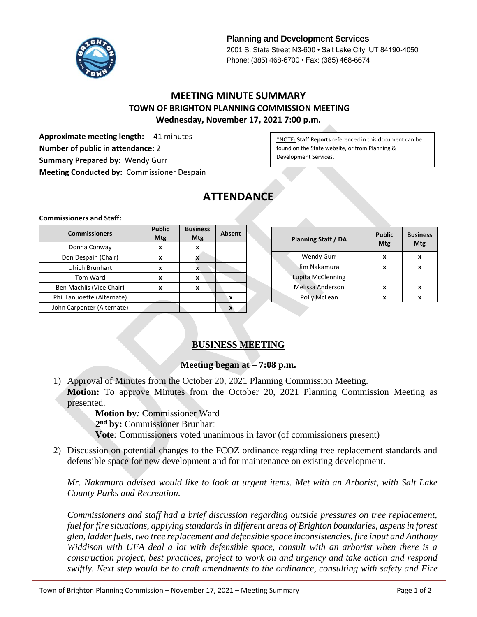

**Planning and Development Services** 2001 S. State Street N3-600 • Salt Lake City, UT 84190-4050 Phone: (385) 468-6700 • Fax: (385) 468-6674

# **MEETING MINUTE SUMMARY TOWN OF BRIGHTON PLANNING COMMISSION MEETING Wednesday, November 17, 2021 7:00 p.m.**

**Approximate meeting length:** 41 minutes **Number of public in attendance**: 2 **Summary Prepared by:** Wendy Gurr **Meeting Conducted by:** Commissioner Despain

**\***NOTE**: Staff Reports** referenced in this document can be found on the State website, or from Planning & Development Services.

# **ATTENDANCE**

#### **Commissioners and Staff:**

| <b>Commissioners</b>       | <b>Public</b><br>Mtg | <b>Business</b><br><b>Mtg</b> | <b>Absent</b>    |
|----------------------------|----------------------|-------------------------------|------------------|
| Donna Conway               | x                    | x                             |                  |
| Don Despain (Chair)        | x                    |                               |                  |
| <b>Ulrich Brunhart</b>     | x                    | x                             |                  |
| <b>Tom Ward</b>            | x                    | X                             |                  |
| Ben Machlis (Vice Chair)   | x                    | X                             |                  |
| Phil Lanuoette (Alternate) |                      |                               | $\boldsymbol{x}$ |
| John Carpenter (Alternate) |                      |                               |                  |

| <b>Planning Staff / DA</b> | <b>Public</b><br>Mtg | <b>Business</b><br>Mtg |
|----------------------------|----------------------|------------------------|
| <b>Wendy Gurr</b>          | x                    | x                      |
| Jim Nakamura               | x                    | x                      |
| Lupita McClenning          |                      |                        |
| Melissa Anderson           | x                    | x                      |
| Polly McLean               | x                    |                        |

# **BUSINESS MEETING**

### **Meeting began at – 7:08 p.m.**

- 1) Approval of Minutes from the October 20, 2021 Planning Commission Meeting. **Motion:** To approve Minutes from the October 20, 2021 Planning Commission Meeting as presented.
	- **Motion by***:* Commissioner Ward
	- **2 nd by:** Commissioner Brunhart
	- **Vote***:* Commissioners voted unanimous in favor (of commissioners present)
- 2) Discussion on potential changes to the FCOZ ordinance regarding tree replacement standards and defensible space for new development and for maintenance on existing development.

*Mr. Nakamura advised would like to look at urgent items. Met with an Arborist, with Salt Lake County Parks and Recreation.*

*Commissioners and staff had a brief discussion regarding outside pressures on tree replacement, fuel for fire situations, applying standards in different areas of Brighton boundaries, aspens in forest glen, ladder fuels, two tree replacement and defensible space inconsistencies, fire input and Anthony Widdison with UFA deal a lot with defensible space, consult with an arborist when there is a construction project, best practices, project to work on and urgency and take action and respond swiftly. Next step would be to craft amendments to the ordinance, consulting with safety and Fire*